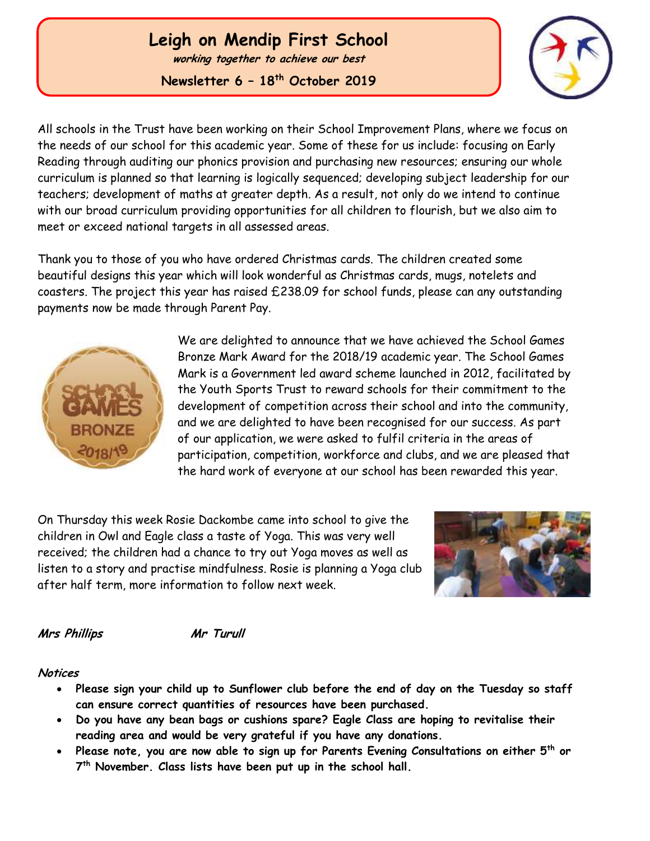# **Leigh on Mendip First School**

**working together to achieve our best**

**Newsletter 6 – 18 th October 2019**



All schools in the Trust have been working on their School Improvement Plans, where we focus on the needs of our school for this academic year. Some of these for us include: focusing on Early Reading through auditing our phonics provision and purchasing new resources; ensuring our whole curriculum is planned so that learning is logically sequenced; developing subject leadership for our teachers; development of maths at greater depth. As a result, not only do we intend to continue with our broad curriculum providing opportunities for all children to flourish, but we also aim to meet or exceed national targets in all assessed areas.

Thank you to those of you who have ordered Christmas cards. The children created some beautiful designs this year which will look wonderful as Christmas cards, mugs, notelets and coasters. The project this year has raised £238.09 for school funds, please can any outstanding payments now be made through Parent Pay.



 Ĭ

> We are delighted to announce that we have achieved the School Games Bronze Mark Award for the 2018/19 academic year. The School Games Mark is a Government led award scheme launched in 2012, facilitated by the Youth Sports Trust to reward schools for their commitment to the development of competition across their school and into the community, and we are delighted to have been recognised for our success. As part of our application, we were asked to fulfil criteria in the areas of participation, competition, workforce and clubs, and we are pleased that the hard work of everyone at our school has been rewarded this year.

On Thursday this week Rosie Dackombe came into school to give the children in Owl and Eagle class a taste of Yoga. This was very well received; the children had a chance to try out Yoga moves as well as listen to a story and practise mindfulness. Rosie is planning a Yoga club after half term, more information to follow next week.



**Mrs Phillips Mr Turull**

#### **Notices**

- **Please sign your child up to Sunflower club before the end of day on the Tuesday so staff can ensure correct quantities of resources have been purchased.**
- **Do you have any bean bags or cushions spare? Eagle Class are hoping to revitalise their reading area and would be very grateful if you have any donations.**
- **Please note, you are now able to sign up for Parents Evening Consultations on either 5th or 7 th November. Class lists have been put up in the school hall.**